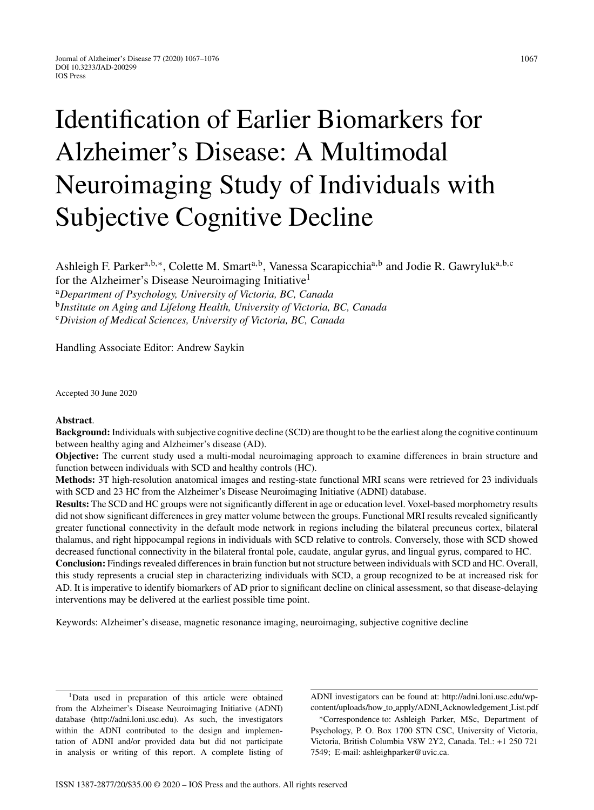# Identification of Earlier Biomarkers for Alzheimer's Disease: A Multimodal Neuroimaging Study of Individuals with Subjective Cognitive Decline

Ashleigh F. Parker<sup>a,b,∗</sup>, Colette M. Smart<sup>a,b</sup>, Vanessa Scarapicchia<sup>a,b</sup> and Jodie R. Gawryluk<sup>a,b,c</sup> for the Alzheimer's Disease Neuroimaging Initiative<sup>1</sup>

<sup>a</sup>*Department of Psychology, University of Victoria, BC, Canada*

<sup>b</sup>*Institute on Aging and Lifelong Health, University of Victoria, BC, Canada*

<sup>c</sup>*Division of Medical Sciences, University of Victoria, BC, Canada*

Handling Associate Editor: Andrew Saykin

Accepted 30 June 2020

#### **Abstract**.

**Background:** Individuals with subjective cognitive decline (SCD) are thought to be the earliest along the cognitive continuum between healthy aging and Alzheimer's disease (AD).

**Objective:** The current study used a multi-modal neuroimaging approach to examine differences in brain structure and function between individuals with SCD and healthy controls (HC).

**Methods:** 3T high-resolution anatomical images and resting-state functional MRI scans were retrieved for 23 individuals with SCD and 23 HC from the Alzheimer's Disease Neuroimaging Initiative (ADNI) database.

**Results:** The SCD and HC groups were not significantly different in age or education level. Voxel-based morphometry results did not show significant differences in grey matter volume between the groups. Functional MRI results revealed significantly greater functional connectivity in the default mode network in regions including the bilateral precuneus cortex, bilateral thalamus, and right hippocampal regions in individuals with SCD relative to controls. Conversely, those with SCD showed decreased functional connectivity in the bilateral frontal pole, caudate, angular gyrus, and lingual gyrus, compared to HC.

**Conclusion:** Findings revealed differences in brain function but not structure between individuals with SCD and HC. Overall, this study represents a crucial step in characterizing individuals with SCD, a group recognized to be at increased risk for AD. It is imperative to identify biomarkers of AD prior to significant decline on clinical assessment, so that disease-delaying interventions may be delivered at the earliest possible time point.

Keywords: Alzheimer's disease, magnetic resonance imaging, neuroimaging, subjective cognitive decline

<sup>&</sup>lt;sup>1</sup>Data used in preparation of this article were obtained from the Alzheimer's Disease Neuroimaging Initiative (ADNI) database [\(http://adni.loni.usc.edu](http://adni.loni.usc.edu)). As such, the investigators within the ADNI contributed to the design and implementation of ADNI and/or provided data but did not participate in analysis or writing of this report. A complete listing of

ADNI investigators can be found at: [http://adni.loni.usc.edu/wp](http://adni.loni.usc.edu/wp-content/uploads/how_to_apply/ADNI_Acknowledgement_List.pdf)content/uploads/how to apply/ADNI Acknowledgement List.pdf

<sup>∗</sup>Correspondence to: Ashleigh Parker, MSc, Department of Psychology, P. O. Box 1700 STN CSC, University of Victoria, Victoria, British Columbia V8W 2Y2, Canada. Tel.: +1 250 721 7549; E-mail: [ashleighparker@uvic.ca.](mailto:ashleighparker@uvic.ca)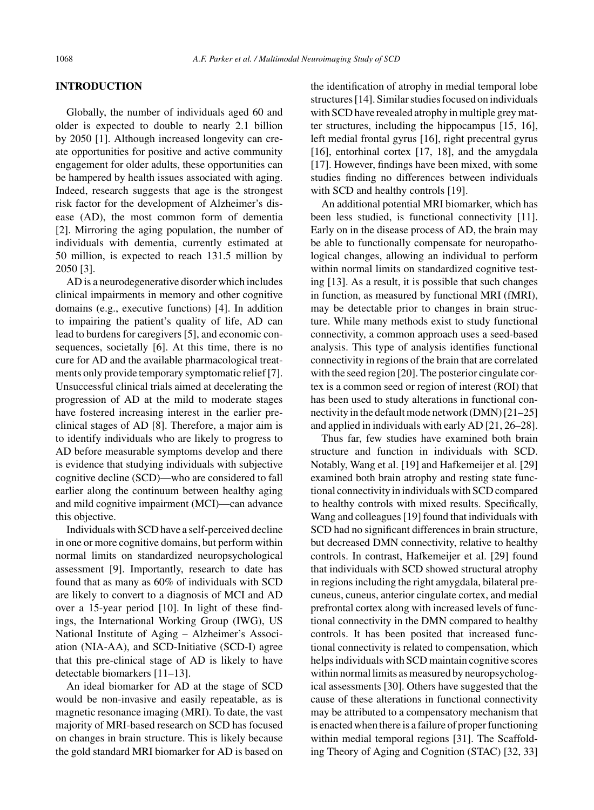## **INTRODUCTION**

Globally, the number of individuals aged 60 and older is expected to double to nearly 2.1 billion by 2050 [1]. Although increased longevity can create opportunities for positive and active community engagement for older adults, these opportunities can be hampered by health issues associated with aging. Indeed, research suggests that age is the strongest risk factor for the development of Alzheimer's disease (AD), the most common form of dementia [2]. Mirroring the aging population, the number of individuals with dementia, currently estimated at 50 million, is expected to reach 131.5 million by 2050 [3].

AD is a neurodegenerative disorder which includes clinical impairments in memory and other cognitive domains (e.g., executive functions) [4]. In addition to impairing the patient's quality of life, AD can lead to burdens for caregivers [5], and economic consequences, societally [6]. At this time, there is no cure for AD and the available pharmacological treatments only provide temporary symptomatic relief [7]. Unsuccessful clinical trials aimed at decelerating the progression of AD at the mild to moderate stages have fostered increasing interest in the earlier preclinical stages of AD [8]. Therefore, a major aim is to identify individuals who are likely to progress to AD before measurable symptoms develop and there is evidence that studying individuals with subjective cognitive decline (SCD)—who are considered to fall earlier along the continuum between healthy aging and mild cognitive impairment (MCI)—can advance this objective.

Individuals with SCD have a self-perceived decline in one or more cognitive domains, but perform within normal limits on standardized neuropsychological assessment [9]. Importantly, research to date has found that as many as 60% of individuals with SCD are likely to convert to a diagnosis of MCI and AD over a 15-year period [10]. In light of these findings, the International Working Group (IWG), US National Institute of Aging – Alzheimer's Association (NIA-AA), and SCD-Initiative (SCD-I) agree that this pre-clinical stage of AD is likely to have detectable biomarkers [11–13].

An ideal biomarker for AD at the stage of SCD would be non-invasive and easily repeatable, as is magnetic resonance imaging (MRI). To date, the vast majority of MRI-based research on SCD has focused on changes in brain structure. This is likely because the gold standard MRI biomarker for AD is based on

the identification of atrophy in medial temporal lobe structures [14]. Similar studies focused on individuals with SCD have revealed atrophy in multiple grey matter structures, including the hippocampus [15, 16], left medial frontal gyrus [16], right precentral gyrus [16], entorhinal cortex [17, 18], and the amygdala [17]. However, findings have been mixed, with some studies finding no differences between individuals with SCD and healthy controls [19].

An additional potential MRI biomarker, which has been less studied, is functional connectivity [11]. Early on in the disease process of AD, the brain may be able to functionally compensate for neuropathological changes, allowing an individual to perform within normal limits on standardized cognitive testing [13]. As a result, it is possible that such changes in function, as measured by functional MRI (fMRI), may be detectable prior to changes in brain structure. While many methods exist to study functional connectivity, a common approach uses a seed-based analysis. This type of analysis identifies functional connectivity in regions of the brain that are correlated with the seed region [20]. The posterior cingulate cortex is a common seed or region of interest (ROI) that has been used to study alterations in functional connectivity in the default mode network (DMN) [21–25] and applied in individuals with early AD [21, 26–28].

Thus far, few studies have examined both brain structure and function in individuals with SCD. Notably, Wang et al. [19] and Hafkemeijer et al. [29] examined both brain atrophy and resting state functional connectivity in individuals with SCD compared to healthy controls with mixed results. Specifically, Wang and colleagues [19] found that individuals with SCD had no significant differences in brain structure, but decreased DMN connectivity, relative to healthy controls. In contrast, Hafkemeijer et al. [29] found that individuals with SCD showed structural atrophy in regions including the right amygdala, bilateral precuneus, cuneus, anterior cingulate cortex, and medial prefrontal cortex along with increased levels of functional connectivity in the DMN compared to healthy controls. It has been posited that increased functional connectivity is related to compensation, which helps individuals with SCD maintain cognitive scores within normal limits as measured by neuropsychological assessments [30]. Others have suggested that the cause of these alterations in functional connectivity may be attributed to a compensatory mechanism that is enacted when there is a failure of proper functioning within medial temporal regions [31]. The Scaffolding Theory of Aging and Cognition (STAC) [32, 33]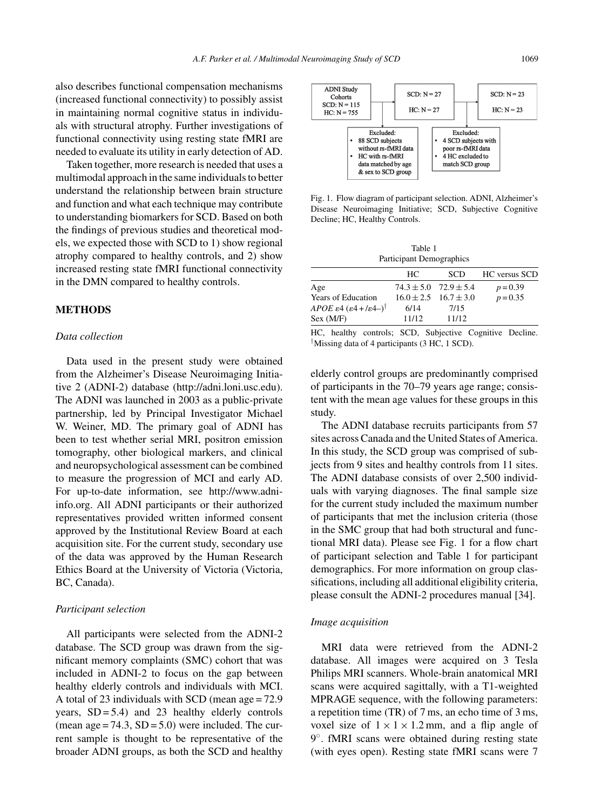also describes functional compensation mechanisms (increased functional connectivity) to possibly assist in maintaining normal cognitive status in individuals with structural atrophy. Further investigations of functional connectivity using resting state fMRI are needed to evaluate its utility in early detection of AD.

Taken together, more research is needed that uses a multimodal approach in the same individuals to better understand the relationship between brain structure and function and what each technique may contribute to understanding biomarkers for SCD. Based on both the findings of previous studies and theoretical models, we expected those with SCD to 1) show regional atrophy compared to healthy controls, and 2) show increased resting state fMRI functional connectivity in the DMN compared to healthy controls.

# **METHODS**

## *Data collection*

Data used in the present study were obtained from the Alzheimer's Disease Neuroimaging Initiative 2 (ADNI-2) database ([http://adni.loni.usc.edu\)](http://adni.loni.usc.edu). The ADNI was launched in 2003 as a public-private partnership, led by Principal Investigator Michael W. Weiner, MD. The primary goal of ADNI has been to test whether serial MRI, positron emission tomography, other biological markers, and clinical and neuropsychological assessment can be combined to measure the progression of MCI and early AD. For up-to-date information, see [http://www.adni](http://www.adni-info.org)info.org. All ADNI participants or their authorized representatives provided written informed consent approved by the Institutional Review Board at each acquisition site. For the current study, secondary use of the data was approved by the Human Research Ethics Board at the University of Victoria (Victoria, BC, Canada).

#### *Participant selection*

All participants were selected from the ADNI-2 database. The SCD group was drawn from the significant memory complaints (SMC) cohort that was included in ADNI-2 to focus on the gap between healthy elderly controls and individuals with MCI. A total of 23 individuals with SCD (mean age = 72.9 years,  $SD = 5.4$ ) and 23 healthy elderly controls (mean  $age = 74.3$ ,  $SD = 5.0$ ) were included. The current sample is thought to be representative of the broader ADNI groups, as both the SCD and healthy



Fig. 1. Flow diagram of participant selection. ADNI, Alzheimer's Disease Neuroimaging Initiative; SCD, Subjective Cognitive Decline; HC, Healthy Controls.

Table 1 Participant Demographics

|                                                                          | HC.   | <b>SCD</b>                    | <b>HC</b> versus SCD |
|--------------------------------------------------------------------------|-------|-------------------------------|----------------------|
| Age                                                                      |       | $74.3 \pm 5.0$ $72.9 \pm 5.4$ | $p = 0.39$           |
| <b>Years of Education</b>                                                |       | $16.0 + 2.5$ $16.7 + 3.0$     | $p = 0.35$           |
| APOE $\varepsilon$ 4 $(\varepsilon$ 4 + / $\varepsilon$ 4-) <sup>†</sup> | 6/14  | 7/15                          |                      |
| Sex (M/F)                                                                | 11/12 | 11/12                         |                      |

HC, healthy controls; SCD, Subjective Cognitive Decline. †Missing data of 4 participants (3 HC, 1 SCD).

elderly control groups are predominantly comprised of participants in the 70–79 years age range; consistent with the mean age values for these groups in this study.

The ADNI database recruits participants from 57 sites across Canada and the United States of America. In this study, the SCD group was comprised of subjects from 9 sites and healthy controls from 11 sites. The ADNI database consists of over 2,500 individuals with varying diagnoses. The final sample size for the current study included the maximum number of participants that met the inclusion criteria (those in the SMC group that had both structural and functional MRI data). Please see Fig. 1 for a flow chart of participant selection and Table 1 for participant demographics. For more information on group classifications, including all additional eligibility criteria, please consult the ADNI-2 procedures manual [34].

#### *Image acquisition*

MRI data were retrieved from the ADNI-2 database. All images were acquired on 3 Tesla Philips MRI scanners. Whole-brain anatomical MRI scans were acquired sagittally, with a T1-weighted MPRAGE sequence, with the following parameters: a repetition time (TR) of 7 ms, an echo time of 3 ms, voxel size of  $1 \times 1 \times 1.2$  mm, and a flip angle of 9◦. fMRI scans were obtained during resting state (with eyes open). Resting state fMRI scans were 7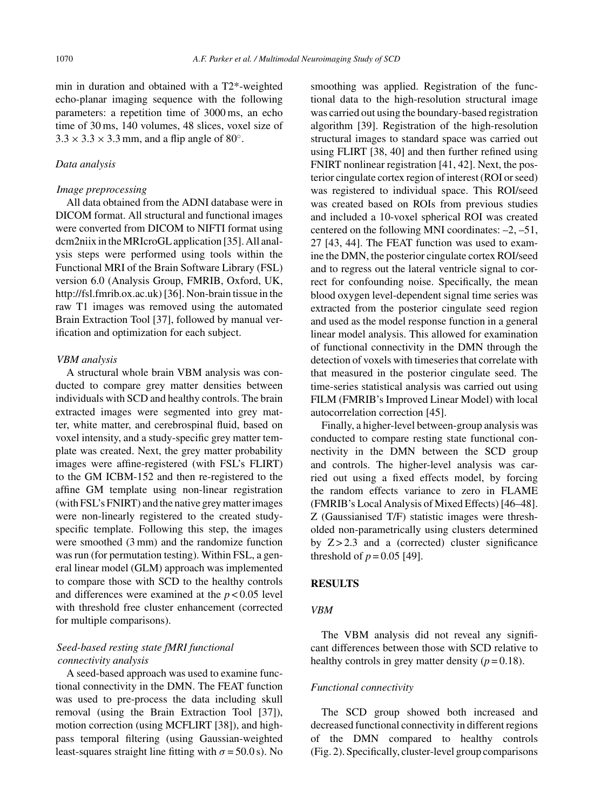min in duration and obtained with a T2\*-weighted echo-planar imaging sequence with the following parameters: a repetition time of 3000 ms, an echo time of 30 ms, 140 volumes, 48 slices, voxel size of  $3.3 \times 3.3 \times 3.3$  mm, and a flip angle of 80°.

#### *Data analysis*

#### *Image preprocessing*

All data obtained from the ADNI database were in DICOM format. All structural and functional images were converted from DICOM to NIFTI format using dcm2niix in the MRIcroGL application [35]. All analysis steps were performed using tools within the Functional MRI of the Brain Software Library (FSL) version 6.0 (Analysis Group, FMRIB, Oxford, UK, <http://fsl.fmrib.ox.ac.uk>) [36]. Non-brain tissue in the raw T1 images was removed using the automated Brain Extraction Tool [37], followed by manual verification and optimization for each subject.

## *VBM analysis*

A structural whole brain VBM analysis was conducted to compare grey matter densities between individuals with SCD and healthy controls. The brain extracted images were segmented into grey matter, white matter, and cerebrospinal fluid, based on voxel intensity, and a study-specific grey matter template was created. Next, the grey matter probability images were affine-registered (with FSL's FLIRT) to the GM ICBM-152 and then re-registered to the affine GM template using non-linear registration (with FSL's FNIRT) and the native grey matter images were non-linearly registered to the created studyspecific template. Following this step, the images were smoothed (3 mm) and the randomize function was run (for permutation testing). Within FSL, a general linear model (GLM) approach was implemented to compare those with SCD to the healthy controls and differences were examined at the  $p < 0.05$  level with threshold free cluster enhancement (corrected for multiple comparisons).

# *Seed-based resting state fMRI functional connectivity analysis*

A seed-based approach was used to examine functional connectivity in the DMN. The FEAT function was used to pre-process the data including skull removal (using the Brain Extraction Tool [37]), motion correction (using MCFLIRT [38]), and highpass temporal filtering (using Gaussian-weighted least-squares straight line fitting with  $\sigma = 50.0$  s). No smoothing was applied. Registration of the functional data to the high-resolution structural image was carried out using the boundary-based registration algorithm [39]. Registration of the high-resolution structural images to standard space was carried out using FLIRT [38, 40] and then further refined using FNIRT nonlinear registration [41, 42]. Next, the posterior cingulate cortex region of interest (ROI or seed) was registered to individual space. This ROI/seed was created based on ROIs from previous studies and included a 10-voxel spherical ROI was created centered on the following MNI coordinates: –2, –51, 27 [43, 44]. The FEAT function was used to examine the DMN, the posterior cingulate cortex ROI/seed and to regress out the lateral ventricle signal to correct for confounding noise. Specifically, the mean blood oxygen level-dependent signal time series was extracted from the posterior cingulate seed region and used as the model response function in a general linear model analysis. This allowed for examination of functional connectivity in the DMN through the detection of voxels with timeseries that correlate with that measured in the posterior cingulate seed. The time-series statistical analysis was carried out using FILM (FMRIB's Improved Linear Model) with local autocorrelation correction [45].

Finally, a higher-level between-group analysis was conducted to compare resting state functional connectivity in the DMN between the SCD group and controls. The higher-level analysis was carried out using a fixed effects model, by forcing the random effects variance to zero in FLAME (FMRIB's Local Analysis of Mixed Effects) [46–48]. Z (Gaussianised T/F) statistic images were thresholded non-parametrically using clusters determined by  $Z > 2.3$  and a (corrected) cluster significance threshold of  $p = 0.05$  [49].

## **RESULTS**

## *VBM*

The VBM analysis did not reveal any significant differences between those with SCD relative to healthy controls in grey matter density  $(p=0.18)$ .

#### *Functional connectivity*

The SCD group showed both increased and decreased functional connectivity in different regions of the DMN compared to healthy controls (Fig. 2). Specifically, cluster-level group comparisons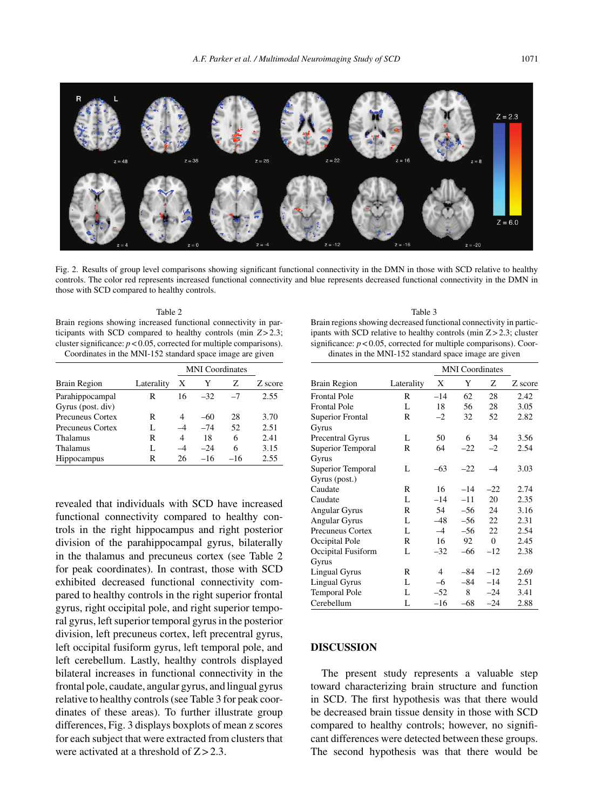

Fig. 2. Results of group level comparisons showing significant functional connectivity in the DMN in those with SCD relative to healthy controls. The color red represents increased functional connectivity and blue represents decreased functional connectivity in the DMN in those with SCD compared to healthy controls.

| Table 2                                                                 |
|-------------------------------------------------------------------------|
| Brain regions showing increased functional connectivity in par-         |
| ticipants with SCD compared to healthy controls (min $Z > 2.3$ ;        |
| cluster significance: $p < 0.05$ , corrected for multiple comparisons). |
| Coordinates in the MNI-152 standard space image are given               |

| <b>Brain Region</b>     |            | <b>MNI</b> Coordinates   |       |       |         |
|-------------------------|------------|--------------------------|-------|-------|---------|
|                         | Laterality | X                        | Y     | Z     | Z score |
| Parahippocampal         | R          | 16                       | $-32$ | $-7$  | 2.55    |
| Gyrus (post. div)       |            |                          |       |       |         |
| <b>Precuneus Cortex</b> | R          | 4                        | $-60$ | 28    | 3.70    |
| <b>Precuneus Cortex</b> | L          |                          | $-74$ | 52    | 2.51    |
| Thalamus                | R          | 4                        | 18    | 6     | 2.41    |
| Thalamus                | L          | $\overline{\mathcal{A}}$ | $-24$ | 6     | 3.15    |
| <b>Hippocampus</b>      | R          | 26                       | $-16$ | $-16$ | 2.55    |

revealed that individuals with SCD have increased functional connectivity compared to healthy controls in the right hippocampus and right posterior division of the parahippocampal gyrus, bilaterally in the thalamus and precuneus cortex (see Table 2 for peak coordinates). In contrast, those with SCD exhibited decreased functional connectivity compared to healthy controls in the right superior frontal gyrus, right occipital pole, and right superior temporal gyrus, left superior temporal gyrus in the posterior division, left precuneus cortex, left precentral gyrus, left occipital fusiform gyrus, left temporal pole, and left cerebellum. Lastly, healthy controls displayed bilateral increases in functional connectivity in the frontal pole, caudate, angular gyrus, and lingual gyrus relative to healthy controls (see Table 3 for peak coordinates of these areas). To further illustrate group differences, Fig. 3 displays boxplots of mean z scores for each subject that were extracted from clusters that were activated at a threshold of  $Z > 2.3$ .

Table 3 Brain regions showing decreased functional connectivity in participants with SCD relative to healthy controls (min Z > 2.3; cluster significance:  $p < 0.05$ , corrected for multiple comparisons). Coordinates in the MNI-152 standard space image are given

|                         |            | <b>MNI</b> Coordinates |       |                |         |
|-------------------------|------------|------------------------|-------|----------------|---------|
| Brain Region            | Laterality | X                      | Y     | Z              | Z score |
| <b>Frontal Pole</b>     | R          | $-14$                  | 62    | 28             | 2.42    |
| <b>Frontal Pole</b>     | L          | 18                     | 56    | 28             | 3.05    |
| <b>Superior Frontal</b> | R          | $-2$                   | 32    | 52             | 2.82    |
| Gyrus                   |            |                        |       |                |         |
| Precentral Gyrus        | L          | 50                     | 6     | 34             | 3.56    |
| Superior Temporal       | R          | 64                     | $-22$ | $-2$           | 2.54    |
| Gyrus                   |            |                        |       |                |         |
| Superior Temporal       | L          | $-63$                  | $-22$ | $-4$           | 3.03    |
| Gyrus (post.)           |            |                        |       |                |         |
| Caudate                 | R          | 16                     | $-14$ | $-22$          | 2.74    |
| Caudate                 | L          | $-14$                  | $-11$ | 20             | 2.35    |
| <b>Angular Gyrus</b>    | R          | 54                     | $-56$ | 24             | 3.16    |
| <b>Angular Gyrus</b>    | L          | $-48$                  | $-56$ | 22             | 2.31    |
| <b>Precuneus Cortex</b> | L          | $-4$                   | $-56$ | 22.            | 2.54    |
| Occipital Pole          | R          | 16                     | 92    | $\overline{0}$ | 2.45    |
| Occipital Fusiform      | L          | $-32$                  | $-66$ | $-12$          | 2.38    |
| Gyrus                   |            |                        |       |                |         |
| <b>Lingual Gyrus</b>    | R          | $\overline{4}$         | $-84$ | $-12$          | 2.69    |
| Lingual Gyrus           | L          | $-6$                   | $-84$ | $-14$          | 2.51    |
| <b>Temporal Pole</b>    | L          | $-52$                  | 8     | $-24$          | 3.41    |
| Cerebellum              | L          | $-16$                  | $-68$ | $-24$          | 2.88    |

# **DISCUSSION**

The present study represents a valuable step toward characterizing brain structure and function in SCD. The first hypothesis was that there would be decreased brain tissue density in those with SCD compared to healthy controls; however, no significant differences were detected between these groups. The second hypothesis was that there would be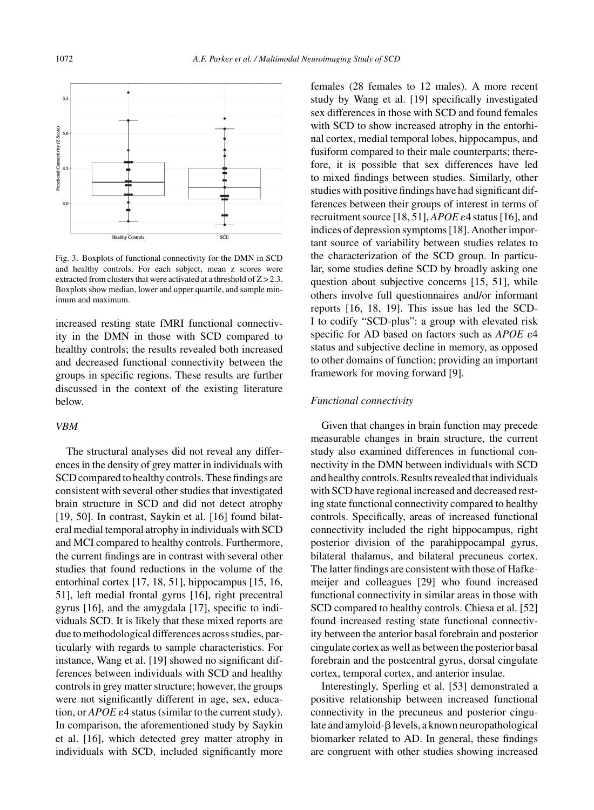

Fig. 3. Boxplots of functional connectivity for the DMN in SCD and healthy controls. For each subject, mean z scores were extracted from clusters that were activated at a threshold of  $Z > 2.3$ . Boxplots show median, lower and upper quartile, and sample minimum and maximum.

increased resting state fMRI functional connectivity in the DMN in those with SCD compared to healthy controls; the results revealed both increased and decreased functional connectivity between the groups in specific regions. These results are further discussed in the context of the existing literature below.

## *VBM*

The structural analyses did not reveal any differences in the density of grey matter in individuals with SCD compared to healthy controls. These findings are consistent with several other studies that investigated brain structure in SCD and did not detect atrophy [19, 50]. In contrast, Saykin et al. [16] found bilateral medial temporal atrophy in individuals with SCD and MCI compared to healthy controls. Furthermore, the current findings are in contrast with several other studies that found reductions in the volume of the entorhinal cortex [17, 18, 51], hippocampus [15, 16, 51], left medial frontal gyrus [16], right precentral gyrus [16], and the amygdala [17], specific to individuals SCD. It is likely that these mixed reports are due to methodological differences across studies, particularly with regards to sample characteristics. For instance, Wang et al. [19] showed no significant differences between individuals with SCD and healthy controls in grey matter structure; however, the groups were not significantly different in age, sex, education, or  $APOE \varepsilon 4$  status (similar to the current study). In comparison, the aforementioned study by Saykin et al. [16], which detected grey matter atrophy in individuals with SCD, included significantly more

females (28 females to 12 males). A more recent study by Wang et al. [19] specifically investigated sex differences in those with SCD and found females with SCD to show increased atrophy in the entorhinal cortex, medial temporal lobes, hippocampus, and fusiform compared to their male counterparts; therefore, it is possible that sex differences have led to mixed findings between studies. Similarly, other studies with positive findings have had significant differences between their groups of interest in terms of recruitment source [18, 51],  $APOE \varepsilon 4$  status [16], and indices of depression symptoms [18]. Another important source of variability between studies relates to the characterization of the SCD group. In particular, some studies define SCD by broadly asking one question about subjective concerns [15, 51], while others involve full questionnaires and/or informant reports [16, 18, 19]. This issue has led the SCD-I to codify "SCD-plus": a group with elevated risk specific for AD based on factors such as *APOE*  $\varepsilon$ 4 status and subjective decline in memory, as opposed to other domains of function; providing an important framework for moving forward [9].

#### *Functional connectivity*

Given that changes in brain function may precede measurable changes in brain structure, the current study also examined differences in functional connectivity in the DMN between individuals with SCD and healthy controls. Results revealed that individuals with SCD have regional increased and decreased resting state functional connectivity compared to healthy controls. Specifically, areas of increased functional connectivity included the right hippocampus, right posterior division of the parahippocampal gyrus, bilateral thalamus, and bilateral precuneus cortex. The latter findings are consistent with those of Hafkemeijer and colleagues [29] who found increased functional connectivity in similar areas in those with SCD compared to healthy controls. Chiesa et al. [52] found increased resting state functional connectivity between the anterior basal forebrain and posterior cingulate cortex as well as between the posterior basal forebrain and the postcentral gyrus, dorsal cingulate cortex, temporal cortex, and anterior insulae.

Interestingly, Sperling et al. [53] demonstrated a positive relationship between increased functional connectivity in the precuneus and posterior cingulate and amyloid- $\beta$  levels, a known neuropathological biomarker related to AD. In general, these findings are congruent with other studies showing increased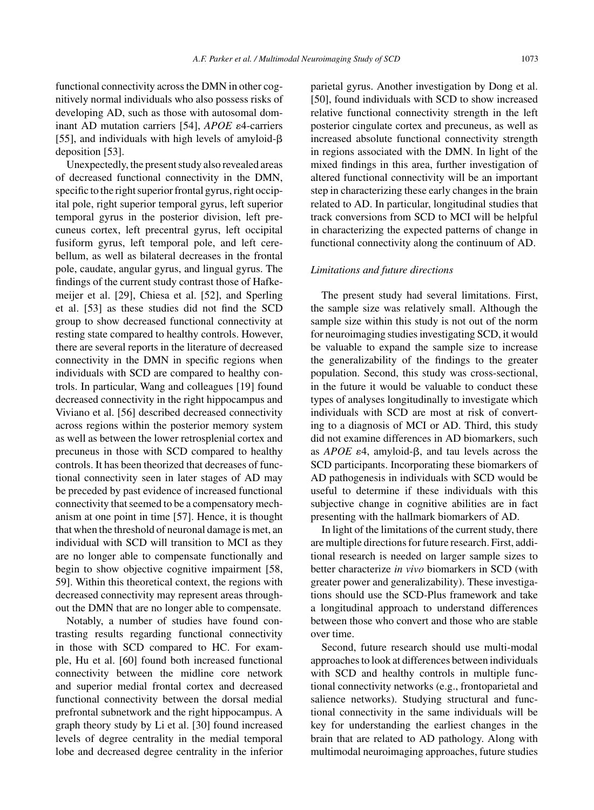functional connectivity across the DMN in other cognitively normal individuals who also possess risks of developing AD, such as those with autosomal dominant AD mutation carriers [54], *APOE*  $\varepsilon$ 4-carriers [55], and individuals with high levels of amyloid- $\beta$ deposition [53].

Unexpectedly, the present study also revealed areas of decreased functional connectivity in the DMN, specific to the right superior frontal gyrus, right occipital pole, right superior temporal gyrus, left superior temporal gyrus in the posterior division, left precuneus cortex, left precentral gyrus, left occipital fusiform gyrus, left temporal pole, and left cerebellum, as well as bilateral decreases in the frontal pole, caudate, angular gyrus, and lingual gyrus. The findings of the current study contrast those of Hafkemeijer et al. [29], Chiesa et al. [52], and Sperling et al. [53] as these studies did not find the SCD group to show decreased functional connectivity at resting state compared to healthy controls. However, there are several reports in the literature of decreased connectivity in the DMN in specific regions when individuals with SCD are compared to healthy controls. In particular, Wang and colleagues [19] found decreased connectivity in the right hippocampus and Viviano et al. [56] described decreased connectivity across regions within the posterior memory system as well as between the lower retrosplenial cortex and precuneus in those with SCD compared to healthy controls. It has been theorized that decreases of functional connectivity seen in later stages of AD may be preceded by past evidence of increased functional connectivity that seemed to be a compensatory mechanism at one point in time [57]. Hence, it is thought that when the threshold of neuronal damage is met, an individual with SCD will transition to MCI as they are no longer able to compensate functionally and begin to show objective cognitive impairment [58, 59]. Within this theoretical context, the regions with decreased connectivity may represent areas throughout the DMN that are no longer able to compensate.

Notably, a number of studies have found contrasting results regarding functional connectivity in those with SCD compared to HC. For example, Hu et al. [60] found both increased functional connectivity between the midline core network and superior medial frontal cortex and decreased functional connectivity between the dorsal medial prefrontal subnetwork and the right hippocampus. A graph theory study by Li et al. [30] found increased levels of degree centrality in the medial temporal lobe and decreased degree centrality in the inferior parietal gyrus. Another investigation by Dong et al. [50], found individuals with SCD to show increased relative functional connectivity strength in the left posterior cingulate cortex and precuneus, as well as increased absolute functional connectivity strength in regions associated with the DMN. In light of the mixed findings in this area, further investigation of altered functional connectivity will be an important step in characterizing these early changes in the brain related to AD. In particular, longitudinal studies that track conversions from SCD to MCI will be helpful in characterizing the expected patterns of change in functional connectivity along the continuum of AD.

#### *Limitations and future directions*

The present study had several limitations. First, the sample size was relatively small. Although the sample size within this study is not out of the norm for neuroimaging studies investigating SCD, it would be valuable to expand the sample size to increase the generalizability of the findings to the greater population. Second, this study was cross-sectional, in the future it would be valuable to conduct these types of analyses longitudinally to investigate which individuals with SCD are most at risk of converting to a diagnosis of MCI or AD. Third, this study did not examine differences in AD biomarkers, such as  $APOE$   $\varepsilon$ 4, amyloid- $\beta$ , and tau levels across the SCD participants. Incorporating these biomarkers of AD pathogenesis in individuals with SCD would be useful to determine if these individuals with this subjective change in cognitive abilities are in fact presenting with the hallmark biomarkers of AD.

In light of the limitations of the current study, there are multiple directions for future research. First, additional research is needed on larger sample sizes to better characterize *in vivo* biomarkers in SCD (with greater power and generalizability). These investigations should use the SCD-Plus framework and take a longitudinal approach to understand differences between those who convert and those who are stable over time.

Second, future research should use multi-modal approaches to look at differences between individuals with SCD and healthy controls in multiple functional connectivity networks (e.g., frontoparietal and salience networks). Studying structural and functional connectivity in the same individuals will be key for understanding the earliest changes in the brain that are related to AD pathology. Along with multimodal neuroimaging approaches, future studies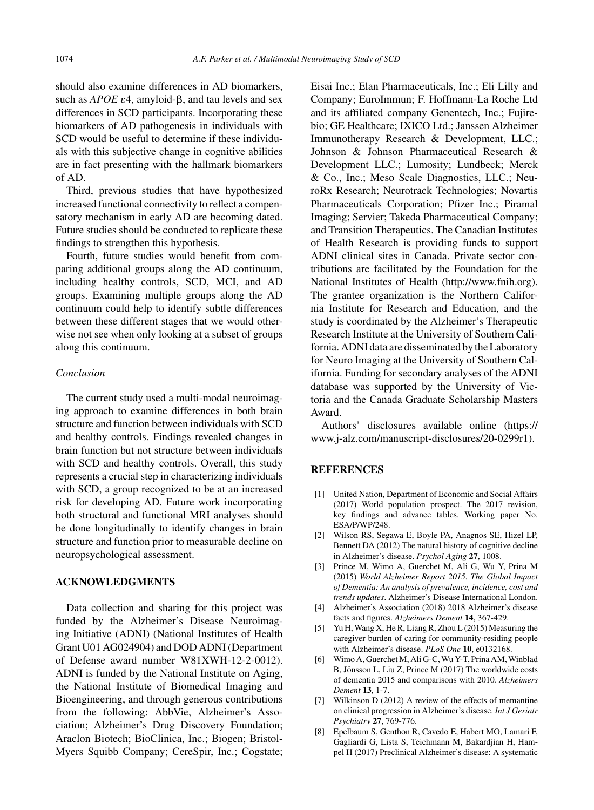should also examine differences in AD biomarkers, such as  $APOE$   $\varepsilon$ 4, amyloid- $\beta$ , and tau levels and sex differences in SCD participants. Incorporating these biomarkers of AD pathogenesis in individuals with SCD would be useful to determine if these individuals with this subjective change in cognitive abilities are in fact presenting with the hallmark biomarkers of AD.

Third, previous studies that have hypothesized increased functional connectivity to reflect a compensatory mechanism in early AD are becoming dated. Future studies should be conducted to replicate these findings to strengthen this hypothesis.

Fourth, future studies would benefit from comparing additional groups along the AD continuum, including healthy controls, SCD, MCI, and AD groups. Examining multiple groups along the AD continuum could help to identify subtle differences between these different stages that we would otherwise not see when only looking at a subset of groups along this continuum.

## *Conclusion*

The current study used a multi-modal neuroimaging approach to examine differences in both brain structure and function between individuals with SCD and healthy controls. Findings revealed changes in brain function but not structure between individuals with SCD and healthy controls. Overall, this study represents a crucial step in characterizing individuals with SCD, a group recognized to be at an increased risk for developing AD. Future work incorporating both structural and functional MRI analyses should be done longitudinally to identify changes in brain structure and function prior to measurable decline on neuropsychological assessment.

## **ACKNOWLEDGMENTS**

Data collection and sharing for this project was funded by the Alzheimer's Disease Neuroimaging Initiative (ADNI) (National Institutes of Health Grant U01 AG024904) and DOD ADNI (Department of Defense award number W81XWH-12-2-0012). ADNI is funded by the National Institute on Aging, the National Institute of Biomedical Imaging and Bioengineering, and through generous contributions from the following: AbbVie, Alzheimer's Association; Alzheimer's Drug Discovery Foundation; Araclon Biotech; BioClinica, Inc.; Biogen; Bristol-Myers Squibb Company; CereSpir, Inc.; Cogstate;

Eisai Inc.; Elan Pharmaceuticals, Inc.; Eli Lilly and Company; EuroImmun; F. Hoffmann-La Roche Ltd and its affiliated company Genentech, Inc.; Fujirebio; GE Healthcare; IXICO Ltd.; Janssen Alzheimer Immunotherapy Research & Development, LLC.; Johnson & Johnson Pharmaceutical Research & Development LLC.; Lumosity; Lundbeck; Merck & Co., Inc.; Meso Scale Diagnostics, LLC.; NeuroRx Research; Neurotrack Technologies; Novartis Pharmaceuticals Corporation; Pfizer Inc.; Piramal Imaging; Servier; Takeda Pharmaceutical Company; and Transition Therapeutics. The Canadian Institutes of Health Research is providing funds to support ADNI clinical sites in Canada. Private sector contributions are facilitated by the Foundation for the National Institutes of Health [\(http://www.fnih.org](http://www.fnih.org)). The grantee organization is the Northern California Institute for Research and Education, and the study is coordinated by the Alzheimer's Therapeutic Research Institute at the University of Southern California. ADNI data are disseminated by the Laboratory for Neuro Imaging at the University of Southern California. Funding for secondary analyses of the ADNI database was supported by the University of Victoria and the Canada Graduate Scholarship Masters Award.

Authors' disclosures available online [\(https://](https://www.j-alz.com/manuscript-disclosures/20-0299r1) www.j-alz.com/manuscript-disclosures/20-0299r1).

# **REFERENCES**

- [1] United Nation, Department of Economic and Social Affairs (2017) World population prospect. The 2017 revision, key findings and advance tables. Working paper No. ESA/P/WP/248.
- [2] Wilson RS, Segawa E, Boyle PA, Anagnos SE, Hizel LP, Bennett DA (2012) The natural history of cognitive decline in Alzheimer's disease. *Psychol Aging* **27**, 1008.
- [3] Prince M, Wimo A, Guerchet M, Ali G, Wu Y, Prina M (2015) *World Alzheimer Report 2015. The Global Impact of Dementia: An analysis of prevalence, incidence, cost and trends updates*. Alzheimer's Disease International London.
- [4] Alzheimer's Association (2018) 2018 Alzheimer's disease facts and figures. *Alzheimers Dement* **14**, 367-429.
- [5] Yu H, Wang X, He R, Liang R, Zhou L (2015) Measuring the caregiver burden of caring for community-residing people with Alzheimer's disease. *PLoS One* **10**, e0132168.
- [6] Wimo A, Guerchet M, Ali G-C, Wu Y-T, Prina AM, Winblad B, Jönsson L, Liu Z, Prince M (2017) The worldwide costs of dementia 2015 and comparisons with 2010. *Alzheimers Dement* **13**, 1-7.
- [7] Wilkinson D (2012) A review of the effects of memantine on clinical progression in Alzheimer's disease. *Int J Geriatr Psychiatry* **27**, 769-776.
- [8] Epelbaum S, Genthon R, Cavedo E, Habert MO, Lamari F, Gagliardi G, Lista S, Teichmann M, Bakardjian H, Hampel H (2017) Preclinical Alzheimer's disease: A systematic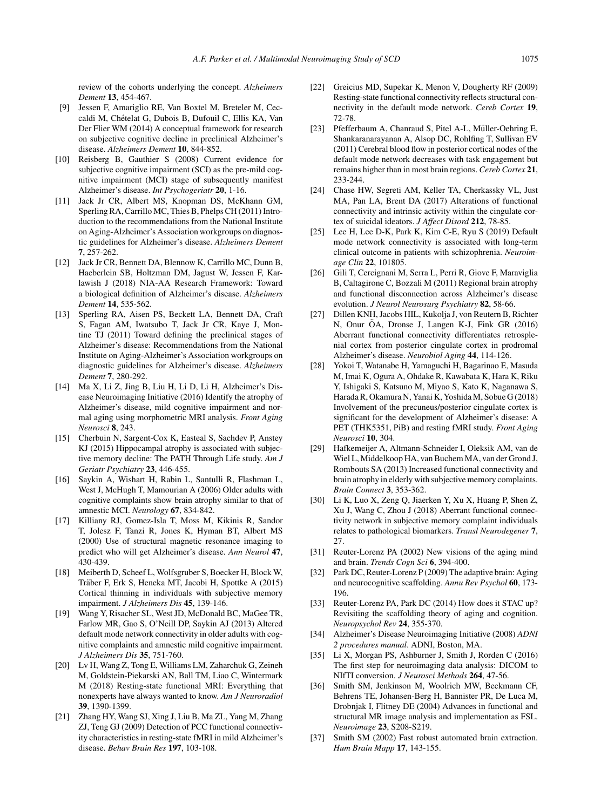review of the cohorts underlying the concept. *Alzheimers Dement* **13**, 454-467.

- [9] Jessen F, Amariglio RE, Van Boxtel M, Breteler M, Ceccaldi M, Chételat G, Dubois B, Dufouil C, Ellis KA, Van Der Flier WM (2014) A conceptual framework for research on subjective cognitive decline in preclinical Alzheimer's disease. *Alzheimers Dement* **10**, 844-852.
- [10] Reisberg B, Gauthier S (2008) Current evidence for subjective cognitive impairment (SCI) as the pre-mild cognitive impairment (MCI) stage of subsequently manifest Alzheimer's disease. *Int Psychogeriatr* **20**, 1-16.
- [11] Jack Jr CR, Albert MS, Knopman DS, McKhann GM, Sperling RA, Carrillo MC, Thies B, Phelps CH (2011) Introduction to the recommendations from the National Institute on Aging-Alzheimer's Association workgroups on diagnostic guidelines for Alzheimer's disease. *Alzheimers Dement* **7**, 257-262.
- [12] Jack Jr CR, Bennett DA, Blennow K, Carrillo MC, Dunn B, Haeberlein SB, Holtzman DM, Jagust W, Jessen F, Karlawish J (2018) NIA-AA Research Framework: Toward a biological definition of Alzheimer's disease. *Alzheimers Dement* **14**, 535-562.
- [13] Sperling RA, Aisen PS, Beckett LA, Bennett DA, Craft S, Fagan AM, Iwatsubo T, Jack Jr CR, Kaye J, Montine TJ (2011) Toward defining the preclinical stages of Alzheimer's disease: Recommendations from the National Institute on Aging-Alzheimer's Association workgroups on diagnostic guidelines for Alzheimer's disease. *Alzheimers Dement* **7**, 280-292.
- [14] Ma X, Li Z, Jing B, Liu H, Li D, Li H, Alzheimer's Disease Neuroimaging Initiative (2016) Identify the atrophy of Alzheimer's disease, mild cognitive impairment and normal aging using morphometric MRI analysis. *Front Aging Neurosci* **8**, 243.
- [15] Cherbuin N, Sargent-Cox K, Easteal S, Sachdev P, Anstey KJ (2015) Hippocampal atrophy is associated with subjective memory decline: The PATH Through Life study. *Am J Geriatr Psychiatry* **23**, 446-455.
- [16] Saykin A, Wishart H, Rabin L, Santulli R, Flashman L, West J, McHugh T, Mamourian A (2006) Older adults with cognitive complaints show brain atrophy similar to that of amnestic MCI. *Neurology* **67**, 834-842.
- [17] Killiany RJ, Gomez-Isla T, Moss M, Kikinis R, Sandor T, Jolesz F, Tanzi R, Jones K, Hyman BT, Albert MS (2000) Use of structural magnetic resonance imaging to predict who will get Alzheimer's disease. *Ann Neurol* **47**, 430-439.
- [18] Meiberth D, Scheef L, Wolfsgruber S, Boecker H, Block W, Träber F, Erk S, Heneka MT, Jacobi H, Spottke A (2015) Cortical thinning in individuals with subjective memory impairment. *J Alzheimers Dis* **45**, 139-146.
- [19] Wang Y, Risacher SL, West JD, McDonald BC, MaGee TR, Farlow MR, Gao S, O'Neill DP, Saykin AJ (2013) Altered default mode network connectivity in older adults with cognitive complaints and amnestic mild cognitive impairment. *J Alzheimers Dis* **35**, 751-760.
- [20] Lv H, Wang Z, Tong E, Williams LM, Zaharchuk G, Zeineh M, Goldstein-Piekarski AN, Ball TM, Liao C, Wintermark M (2018) Resting-state functional MRI: Everything that nonexperts have always wanted to know. *Am J Neuroradiol* **39**, 1390-1399.
- [21] Zhang HY, Wang SJ, Xing J, Liu B, Ma ZL, Yang M, Zhang ZJ, Teng GJ (2009) Detection of PCC functional connectivity characteristics in resting-state fMRI in mild Alzheimer's disease. *Behav Brain Res* **197**, 103-108.
- [22] Greicius MD, Supekar K, Menon V, Dougherty RF (2009) Resting-state functional connectivity reflects structural connectivity in the default mode network. *Cereb Cortex* **19**, 72-78.
- [23] Pfefferbaum A, Chanraud S, Pitel A-L, Müller-Oehring E, Shankaranarayanan A, Alsop DC, Rohlfing T, Sullivan EV (2011) Cerebral blood flow in posterior cortical nodes of the default mode network decreases with task engagement but remains higher than in most brain regions. *Cereb Cortex* **21**, 233-244.
- [24] Chase HW, Segreti AM, Keller TA, Cherkassky VL, Just MA, Pan LA, Brent DA (2017) Alterations of functional connectivity and intrinsic activity within the cingulate cortex of suicidal ideators. *J Affect Disord* **212**, 78-85.
- [25] Lee H, Lee D-K, Park K, Kim C-E, Ryu S (2019) Default mode network connectivity is associated with long-term clinical outcome in patients with schizophrenia. *Neuroimage Clin* **22**, 101805.
- [26] Gili T, Cercignani M, Serra L, Perri R, Giove F, Maraviglia B, Caltagirone C, Bozzali M (2011) Regional brain atrophy and functional disconnection across Alzheimer's disease evolution. *J Neurol Neurosurg Psychiatry* **82**, 58-66.
- [27] Dillen KNH, Jacobs HIL, Kukolja J, von Reutern B, Richter N, Onur ÖA, Dronse J, Langen K-J, Fink GR (2016) Aberrant functional connectivity differentiates retrosplenial cortex from posterior cingulate cortex in prodromal Alzheimer's disease. *Neurobiol Aging* **44**, 114-126.
- [28] Yokoi T, Watanabe H, Yamaguchi H, Bagarinao E, Masuda M, Imai K, Ogura A, Ohdake R, Kawabata K, Hara K, Riku Y, Ishigaki S, Katsuno M, Miyao S, Kato K, Naganawa S, Harada R, Okamura N, Yanai K, Yoshida M, Sobue G (2018) Involvement of the precuneus/posterior cingulate cortex is significant for the development of Alzheimer's disease: A PET (THK5351, PiB) and resting fMRI study. *Front Aging Neurosci* **10**, 304.
- [29] Hafkemeijer A, Altmann-Schneider I, Oleksik AM, van de Wiel L, Middelkoop HA, van Buchem MA, van der Grond J, Rombouts SA (2013) Increased functional connectivity and brain atrophy in elderly with subjective memory complaints. *Brain Connect* **3**, 353-362.
- [30] Li K, Luo X, Zeng Q, Jiaerken Y, Xu X, Huang P, Shen Z, Xu J, Wang C, Zhou J (2018) Aberrant functional connectivity network in subjective memory complaint individuals relates to pathological biomarkers. *Transl Neurodegener* **7**, 27.
- [31] Reuter-Lorenz PA (2002) New visions of the aging mind and brain. *Trends Cogn Sci* **6**, 394-400.
- [32] Park DC, Reuter-Lorenz P (2009) The adaptive brain: Aging and neurocognitive scaffolding. *Annu Rev Psychol* **60**, 173- 196.
- [33] Reuter-Lorenz PA, Park DC (2014) How does it STAC up? Revisiting the scaffolding theory of aging and cognition. *Neuropsychol Rev* **24**, 355-370.
- [34] Alzheimer's Disease Neuroimaging Initiative (2008) *ADNI 2 procedures manual*. ADNI, Boston, MA.
- [35] Li X, Morgan PS, Ashburner J, Smith J, Rorden C (2016) The first step for neuroimaging data analysis: DICOM to NIfTI conversion. *J Neurosci Methods* **264**, 47-56.
- [36] Smith SM, Jenkinson M, Woolrich MW, Beckmann CF, Behrens TE, Johansen-Berg H, Bannister PR, De Luca M, Drobnjak I, Flitney DE (2004) Advances in functional and structural MR image analysis and implementation as FSL. *Neuroimage* **23**, S208-S219.
- [37] Smith SM (2002) Fast robust automated brain extraction. *Hum Brain Mapp* **17**, 143-155.